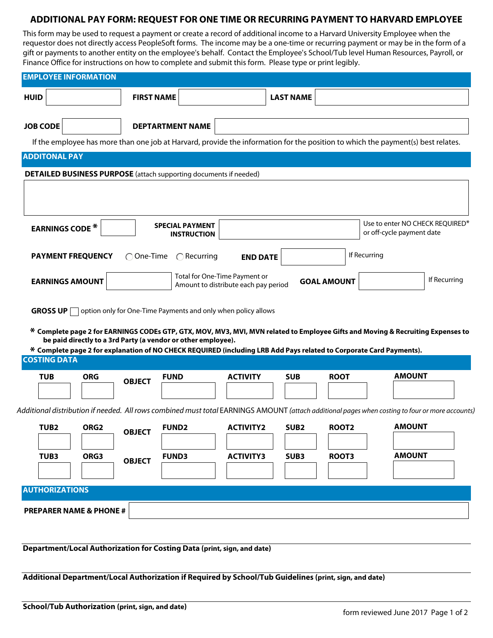## **ADDITIONAL PAY FORM: REQUEST FOR ONE TIME OR RECURRING PAYMENT TO HARVARD EMPLOYEE**

This form may be used to request a payment or create a record of additional income to a Harvard University Employee when the requestor does not directly access PeopleSoft forms. The income may be a one-time or recurring payment or may be in the form of a gift or payments to another entity on the employee's behalf. Contact the Employee's School/Tub level Human Resources, Payroll, or Finance Office for instructions on how to complete and submit this form. Please type or print legibly.

| <b>HUID</b>            |                                    | <b>FIRST NAME</b>  |                                                                                                                     |                                                                            | <b>LAST NAME</b> |                                 |                                                                                                                                                 |  |
|------------------------|------------------------------------|--------------------|---------------------------------------------------------------------------------------------------------------------|----------------------------------------------------------------------------|------------------|---------------------------------|-------------------------------------------------------------------------------------------------------------------------------------------------|--|
| <b>JOB CODE</b>        |                                    |                    | <b>DEPTARTMENT NAME</b>                                                                                             |                                                                            |                  |                                 |                                                                                                                                                 |  |
|                        |                                    |                    |                                                                                                                     |                                                                            |                  |                                 | If the employee has more than one job at Harvard, provide the information for the position to which the payment(s) best relates.                |  |
| <b>ADDITONAL PAY</b>   |                                    |                    |                                                                                                                     |                                                                            |                  |                                 |                                                                                                                                                 |  |
|                        |                                    |                    | <b>DETAILED BUSINESS PURPOSE</b> (attach supporting documents if needed)                                            |                                                                            |                  |                                 |                                                                                                                                                 |  |
|                        |                                    |                    |                                                                                                                     |                                                                            |                  |                                 |                                                                                                                                                 |  |
|                        |                                    |                    |                                                                                                                     |                                                                            |                  |                                 |                                                                                                                                                 |  |
| <b>EARNINGS CODE *</b> |                                    |                    | <b>SPECIAL PAYMENT</b>                                                                                              |                                                                            |                  | Use to enter NO CHECK REQUIRED* |                                                                                                                                                 |  |
|                        |                                    |                    | <b>INSTRUCTION</b>                                                                                                  |                                                                            |                  |                                 | or off-cycle payment date                                                                                                                       |  |
|                        | <b>PAYMENT FREQUENCY</b>           | $\bigcap$ One-Time | $\bigcap$ Recurring                                                                                                 | <b>END DATE</b>                                                            |                  |                                 | If Recurring                                                                                                                                    |  |
|                        |                                    |                    |                                                                                                                     | Total for One-Time Payment or                                              |                  |                                 |                                                                                                                                                 |  |
| <b>EARNINGS AMOUNT</b> |                                    |                    |                                                                                                                     | If Recurring<br><b>GOAL AMOUNT</b><br>Amount to distribute each pay period |                  |                                 |                                                                                                                                                 |  |
|                        |                                    |                    |                                                                                                                     |                                                                            |                  |                                 |                                                                                                                                                 |  |
|                        |                                    |                    |                                                                                                                     |                                                                            |                  |                                 |                                                                                                                                                 |  |
|                        |                                    |                    | <b>GROSS UP</b> $\Box$ option only for One-Time Payments and only when policy allows                                |                                                                            |                  |                                 |                                                                                                                                                 |  |
|                        |                                    |                    |                                                                                                                     |                                                                            |                  |                                 |                                                                                                                                                 |  |
|                        |                                    |                    | be paid directly to a 3rd Party (a vendor or other employee).                                                       |                                                                            |                  |                                 | * Complete page 2 for EARNINGS CODEs GTP, GTX, MOV, MV3, MVI, MVN related to Employee Gifts and Moving & Recruiting Expenses to                 |  |
|                        |                                    |                    | * Complete page 2 for explanation of NO CHECK REQUIRED (including LRB Add Pays related to Corporate Card Payments). |                                                                            |                  |                                 |                                                                                                                                                 |  |
| <b>COSTING DATA</b>    |                                    |                    |                                                                                                                     |                                                                            |                  |                                 |                                                                                                                                                 |  |
| <b>TUB</b>             | <b>ORG</b>                         | <b>OBJECT</b>      | <b>FUND</b>                                                                                                         | <b>ACTIVITY</b>                                                            | <b>SUB</b>       | <b>ROOT</b>                     | <b>AMOUNT</b>                                                                                                                                   |  |
|                        |                                    |                    |                                                                                                                     |                                                                            |                  |                                 |                                                                                                                                                 |  |
|                        |                                    |                    |                                                                                                                     |                                                                            |                  |                                 | Additional distribution if needed. All rows combined must total EARNINGS AMOUNT (attach additional pages when costing to four or more accounts) |  |
| TUB <sub>2</sub>       | ORG <sub>2</sub>                   | <b>OBJECT</b>      | <b>FUND2</b>                                                                                                        | <b>ACTIVITY2</b>                                                           | SUB <sub>2</sub> | <b>ROOT2</b>                    | <b>AMOUNT</b>                                                                                                                                   |  |
| TUB3                   | ORG3                               |                    | <b>FUND3</b>                                                                                                        | <b>ACTIVITY3</b>                                                           | SUB3             | ROOT3                           | <b>AMOUNT</b>                                                                                                                                   |  |
|                        |                                    | <b>OBJECT</b>      |                                                                                                                     |                                                                            |                  |                                 |                                                                                                                                                 |  |
|                        |                                    |                    |                                                                                                                     |                                                                            |                  |                                 |                                                                                                                                                 |  |
| <b>AUTHORIZATIONS</b>  |                                    |                    |                                                                                                                     |                                                                            |                  |                                 |                                                                                                                                                 |  |
|                        | <b>PREPARER NAME &amp; PHONE #</b> |                    |                                                                                                                     |                                                                            |                  |                                 |                                                                                                                                                 |  |
|                        |                                    |                    |                                                                                                                     |                                                                            |                  |                                 |                                                                                                                                                 |  |

**Additional Department/Local Authorization if Required by School/Tub Guidelines (print, sign, and date)**